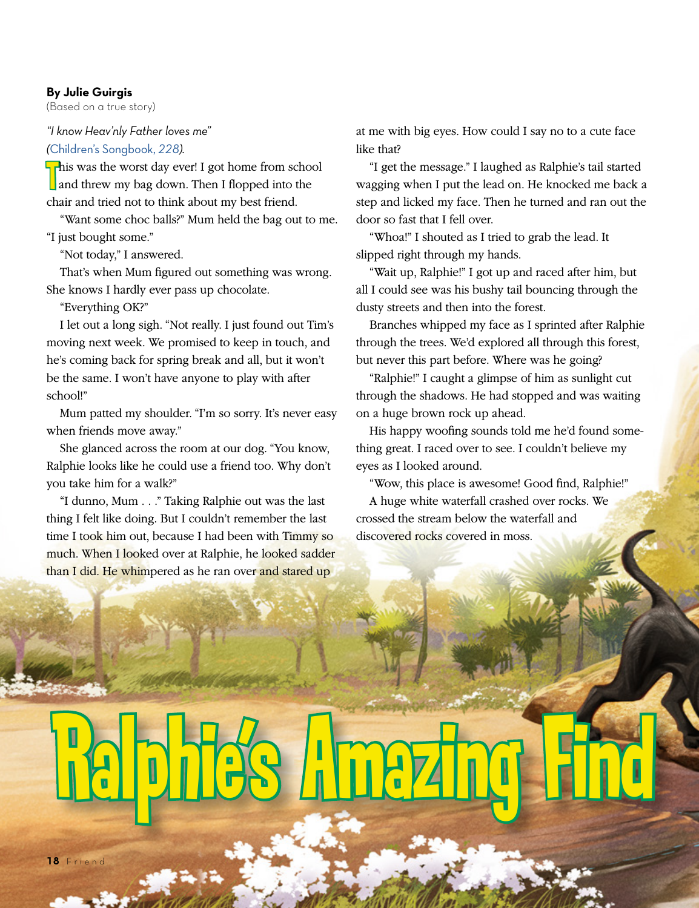## **By Julie Guirgis**

(Based on a true story)

## *"I know Heav'nly Father loves me" (*[Children's Songbook,](https://www.lds.org/music/library/childrens-songbook/my-heavenly-father-loves-me?lang=eng) *228).*

his was the worst day ever! I got home from school<br>and threw my bag down. Then I flopped into the and threw my bag down. Then I flopped into the chair and tried not to think about my best friend.

"Want some choc balls?" Mum held the bag out to me. "I just bought some."

"Not today," I answered.

That's when Mum figured out something was wrong. She knows I hardly ever pass up chocolate.

"Everything OK?"

I let out a long sigh. "Not really. I just found out Tim's moving next week. We promised to keep in touch, and he's coming back for spring break and all, but it won't be the same. I won't have anyone to play with after school!"

Mum patted my shoulder. "I'm so sorry. It's never easy when friends move away."

She glanced across the room at our dog. "You know, Ralphie looks like he could use a friend too. Why don't you take him for a walk?"

"I dunno, Mum . . ." Taking Ralphie out was the last thing I felt like doing. But I couldn't remember the last time I took him out, because I had been with Timmy so much. When I looked over at Ralphie, he looked sadder than I did. He whimpered as he ran over and stared up

at me with big eyes. How could I say no to a cute face like that?

"I get the message." I laughed as Ralphie's tail started wagging when I put the lead on. He knocked me back a step and licked my face. Then he turned and ran out the door so fast that I fell over.

"Whoa!" I shouted as I tried to grab the lead. It slipped right through my hands.

"Wait up, Ralphie!" I got up and raced after him, but all I could see was his bushy tail bouncing through the dusty streets and then into the forest.

Branches whipped my face as I sprinted after Ralphie through the trees. We'd explored all through this forest, but never this part before. Where was he going?

"Ralphie!" I caught a glimpse of him as sunlight cut through the shadows. He had stopped and was waiting on a huge brown rock up ahead.

His happy woofing sounds told me he'd found something great. I raced over to see. I couldn't believe my eyes as I looked around.

"Wow, this place is awesome! Good find, Ralphie!" A huge white waterfall crashed over rocks. We crossed the stream below the waterfall and discovered rocks covered in moss.

Ralphie's Amazing Find